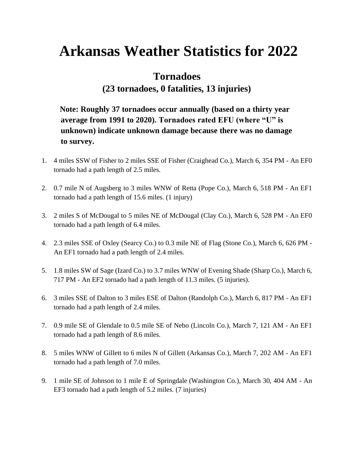# **Arkansas Weather Statistics for 2022**

# **Tornadoes**

### **(23 tornadoes, 0 fatalities, 13 injuries)**

**Note: Roughly 37 tornadoes occur annually (based on a thirty year average from 1991 to 2020). Tornadoes rated EFU (where "U" is unknown) indicate unknown damage because there was no damage to survey.** 

- 1. 4 miles SSW of Fisher to 2 miles SSE of Fisher (Craighead Co.), March 6, 354 PM An EF0 tornado had a path length of 2.5 miles.
- 2. 0.7 mile N of Augsberg to 3 miles WNW of Retta (Pope Co.), March 6, 518 PM An EF1 tornado had a path length of 15.6 miles. (1 injury)
- 3. 2 miles S of McDougal to 5 miles NE of McDougal (Clay Co.), March 6, 528 PM An EF0 tornado had a path length of 6.4 miles.
- 4. 2.3 miles SSE of Oxley (Searcy Co.) to 0.3 mile NE of Flag (Stone Co.), March 6, 626 PM An EF1 tornado had a path length of 2.4 miles.
- 5. 1.8 miles SW of Sage (Izard Co.) to 3.7 miles WNW of Evening Shade (Sharp Co.), March 6, 717 PM - An EF2 tornado had a path length of 11.3 miles. (5 injuries).
- 6. 3 miles SSE of Dalton to 3 miles ESE of Dalton (Randolph Co.), March 6, 817 PM An EF1 tornado had a path length of 2.4 miles.
- 7. 0.9 mile SE of Glendale to 0.5 mile SE of Nebo (Lincoln Co.), March 7, 121 AM An EF1 tornado had a path length of 8.6 miles.
- 8. 5 miles WNW of Gillett to 6 miles N of Gillett (Arkansas Co.), March 7, 202 AM An EF1 tornado had a path length of 7.0 miles.
- 9. 1 mile SE of Johnson to 1 mile E of Springdale (Washington Co.), March 30, 404 AM An EF3 tornado had a path length of 5.2 miles. (7 injuries)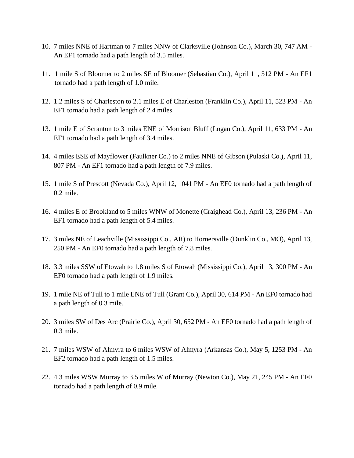- 10. 7 miles NNE of Hartman to 7 miles NNW of Clarksville (Johnson Co.), March 30, 747 AM An EF1 tornado had a path length of 3.5 miles.
- 11. 1 mile S of Bloomer to 2 miles SE of Bloomer (Sebastian Co.), April 11, 512 PM An EF1 tornado had a path length of 1.0 mile.
- 12. 1.2 miles S of Charleston to 2.1 miles E of Charleston (Franklin Co.), April 11, 523 PM An EF1 tornado had a path length of 2.4 miles.
- 13. 1 mile E of Scranton to 3 miles ENE of Morrison Bluff (Logan Co.), April 11, 633 PM An EF1 tornado had a path length of 3.4 miles.
- 14. 4 miles ESE of Mayflower (Faulkner Co.) to 2 miles NNE of Gibson (Pulaski Co.), April 11, 807 PM - An EF1 tornado had a path length of 7.9 miles.
- 15. 1 mile S of Prescott (Nevada Co.), April 12, 1041 PM An EF0 tornado had a path length of 0.2 mile.
- 16. 4 miles E of Brookland to 5 miles WNW of Monette (Craighead Co.), April 13, 236 PM An EF1 tornado had a path length of 5.4 miles.
- 17. 3 miles NE of Leachville (Mississippi Co., AR) to Hornersville (Dunklin Co., MO), April 13, 250 PM - An EF0 tornado had a path length of 7.8 miles.
- 18. 3.3 miles SSW of Etowah to 1.8 miles S of Etowah (Mississippi Co.), April 13, 300 PM An EF0 tornado had a path length of 1.9 miles.
- 19. 1 mile NE of Tull to 1 mile ENE of Tull (Grant Co.), April 30, 614 PM An EF0 tornado had a path length of 0.3 mile.
- 20. 3 miles SW of Des Arc (Prairie Co.), April 30, 652 PM An EF0 tornado had a path length of 0.3 mile.
- 21. 7 miles WSW of Almyra to 6 miles WSW of Almyra (Arkansas Co.), May 5, 1253 PM An EF2 tornado had a path length of 1.5 miles.
- 22. 4.3 miles WSW Murray to 3.5 miles W of Murray (Newton Co.), May 21, 245 PM An EF0 tornado had a path length of 0.9 mile.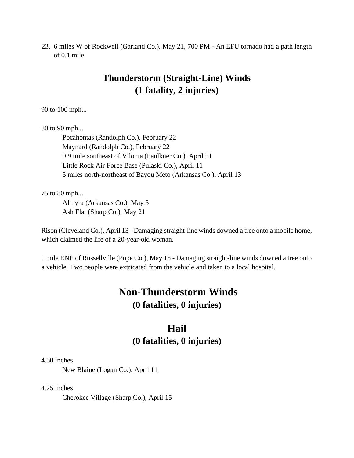23. 6 miles W of Rockwell (Garland Co.), May 21, 700 PM - An EFU tornado had a path length of 0.1 mile.

### **Thunderstorm (Straight-Line) Winds (1 fatality, 2 injuries)**

90 to 100 mph...

80 to 90 mph...

Pocahontas (Randolph Co.), February 22 Maynard (Randolph Co.), February 22 0.9 mile southeast of Vilonia (Faulkner Co.), April 11 Little Rock Air Force Base (Pulaski Co.), April 11 5 miles north-northeast of Bayou Meto (Arkansas Co.), April 13

75 to 80 mph...

Almyra (Arkansas Co.), May 5 Ash Flat (Sharp Co.), May 21

Rison (Cleveland Co.), April 13 - Damaging straight-line winds downed a tree onto a mobile home, which claimed the life of a 20-year-old woman.

1 mile ENE of Russellville (Pope Co.), May 15 - Damaging straight-line winds downed a tree onto a vehicle. Two people were extricated from the vehicle and taken to a local hospital.

## **Non-Thunderstorm Winds (0 fatalities, 0 injuries)**

# **Hail (0 fatalities, 0 injuries)**

4.50 inches

New Blaine (Logan Co.), April 11

4.25 inches

Cherokee Village (Sharp Co.), April 15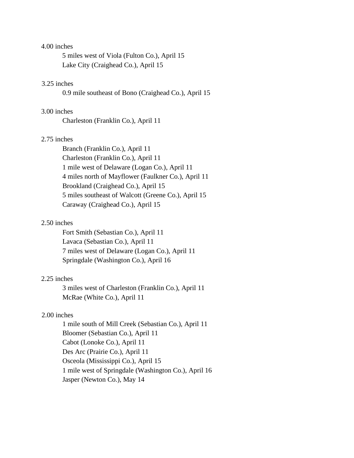#### 4.00 inches

5 miles west of Viola (Fulton Co.), April 15 Lake City (Craighead Co.), April 15

### 3.25 inches

0.9 mile southeast of Bono (Craighead Co.), April 15

### 3.00 inches

Charleston (Franklin Co.), April 11

#### 2.75 inches

Branch (Franklin Co.), April 11 Charleston (Franklin Co.), April 11 1 mile west of Delaware (Logan Co.), April 11 4 miles north of Mayflower (Faulkner Co.), April 11 Brookland (Craighead Co.), April 15 5 miles southeast of Walcott (Greene Co.), April 15 Caraway (Craighead Co.), April 15

### 2.50 inches

Fort Smith (Sebastian Co.), April 11 Lavaca (Sebastian Co.), April 11 7 miles west of Delaware (Logan Co.), April 11 Springdale (Washington Co.), April 16

#### 2.25 inches

3 miles west of Charleston (Franklin Co.), April 11 McRae (White Co.), April 11

### 2.00 inches

1 mile south of Mill Creek (Sebastian Co.), April 11 Bloomer (Sebastian Co.), April 11 Cabot (Lonoke Co.), April 11 Des Arc (Prairie Co.), April 11 Osceola (Mississippi Co.), April 15 1 mile west of Springdale (Washington Co.), April 16 Jasper (Newton Co.), May 14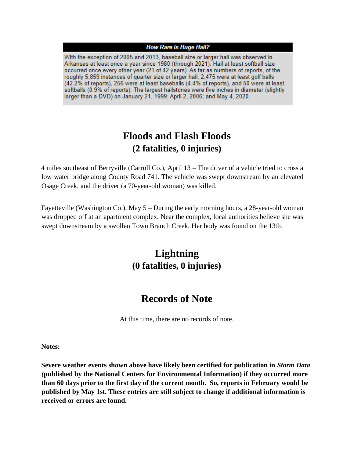#### **How Rare is Huge Hail?**

With the exception of 2005 and 2013, baseball size or larger hail was observed in Arkansas at least once a year since 1980 (through 2021). Hail at least softball size occurred once every other year (21 of 42 years). As far as numbers of reports, of the roughly 5,859 instances of quarter size or larger hail, 2,475 were at least golf balls (42.2% of reports), 256 were at least baseballs (4.4% of reports), and 50 were at least softballs (0.9% of reports). The largest hailstones were five inches in diameter (slightly larger than a DVD) on January 21, 1999; April 2, 2006; and May 4, 2020.

### **Floods and Flash Floods (2 fatalities, 0 injuries)**

4 miles southeast of Berryville (Carroll Co.), April 13 – The driver of a vehicle tried to cross a low water bridge along County Road 741. The vehicle was swept downstream by an elevated Osage Creek, and the driver (a 70-year-old woman) was killed.

Fayetteville (Washington Co.), May 5 – During the early morning hours, a 28-year-old woman was dropped off at an apartment complex. Near the complex, local authorities believe she was swept downstream by a swollen Town Branch Creek. Her body was found on the 13th.

# **Lightning (0 fatalities, 0 injuries)**

### **Records of Note**

At this time, there are no records of note.

**Notes:** 

**Severe weather events shown above have likely been certified for publication in** *Storm Data (***published by the National Centers for Environmental Information) if they occurred more than 60 days prior to the first day of the current month. So, reports in February would be published by May 1st. These entries are still subject to change if additional information is received or errors are found.**